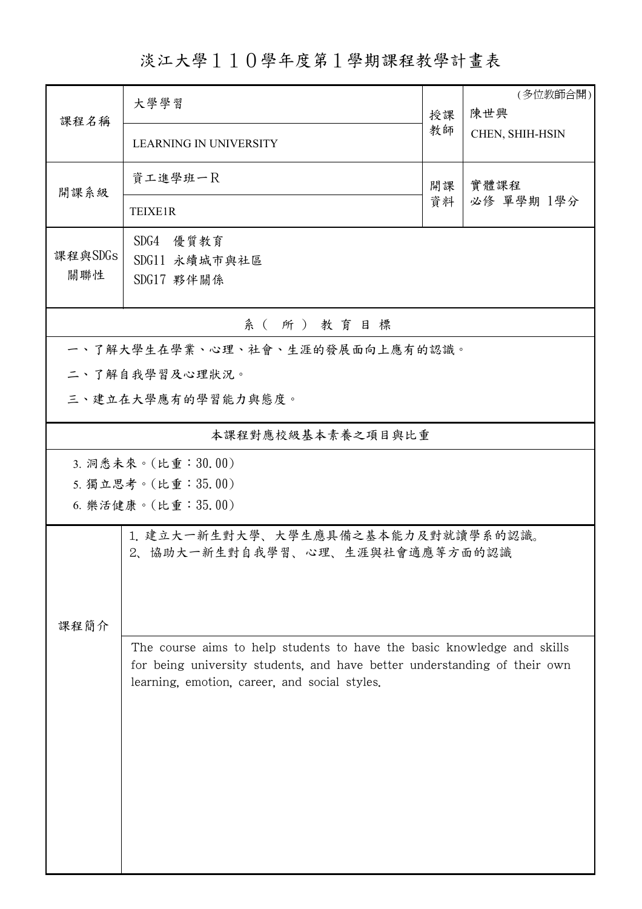## 淡江大學110學年度第1學期課程教學計畫表

| 課程名稱                            | 大學學習<br>授課                                                                                                                                                                                            |    | (多位教師合開)<br>陳世興 |  |  |  |  |  |  |
|---------------------------------|-------------------------------------------------------------------------------------------------------------------------------------------------------------------------------------------------------|----|-----------------|--|--|--|--|--|--|
|                                 | <b>LEARNING IN UNIVERSITY</b>                                                                                                                                                                         | 教師 | CHEN, SHIH-HSIN |  |  |  |  |  |  |
| 開課系級                            | 資工進學班一R                                                                                                                                                                                               | 開課 | 實體課程            |  |  |  |  |  |  |
|                                 | <b>TEIXE1R</b>                                                                                                                                                                                        | 資料 | 必修 單學期 1學分      |  |  |  |  |  |  |
| 課程與SDGs<br>關聯性                  | SDG4 優質教育<br>SDG11 永續城市與社區<br>SDG17 夥伴關係                                                                                                                                                              |    |                 |  |  |  |  |  |  |
| 系(所)教育目標                        |                                                                                                                                                                                                       |    |                 |  |  |  |  |  |  |
| 一、了解大學生在學業、心理、社會、生涯的發展面向上應有的認識。 |                                                                                                                                                                                                       |    |                 |  |  |  |  |  |  |
| 二、了解自我學習及心理狀況。                  |                                                                                                                                                                                                       |    |                 |  |  |  |  |  |  |
|                                 | 三、建立在大學應有的學習能力與態度。                                                                                                                                                                                    |    |                 |  |  |  |  |  |  |
| 本課程對應校級基本素養之項目與比重               |                                                                                                                                                                                                       |    |                 |  |  |  |  |  |  |
| 3. 洞悉未來。(比重:30.00)              |                                                                                                                                                                                                       |    |                 |  |  |  |  |  |  |
|                                 | 5. 獨立思考。(比重:35.00)                                                                                                                                                                                    |    |                 |  |  |  |  |  |  |
|                                 | 6. 樂活健康。(比重:35.00)                                                                                                                                                                                    |    |                 |  |  |  |  |  |  |
| 課程簡介                            | 1. 建立大一新生對大學、大學生應具備之基本能力及對就讀學系的認識。<br>2、協助大一新生對自我學習、心理、生涯與社會適應等方面的認識                                                                                                                                  |    |                 |  |  |  |  |  |  |
|                                 | The course aims to help students to have the basic knowledge and skills<br>for being university students, and have better understanding of their own<br>learning, emotion, career, and social styles. |    |                 |  |  |  |  |  |  |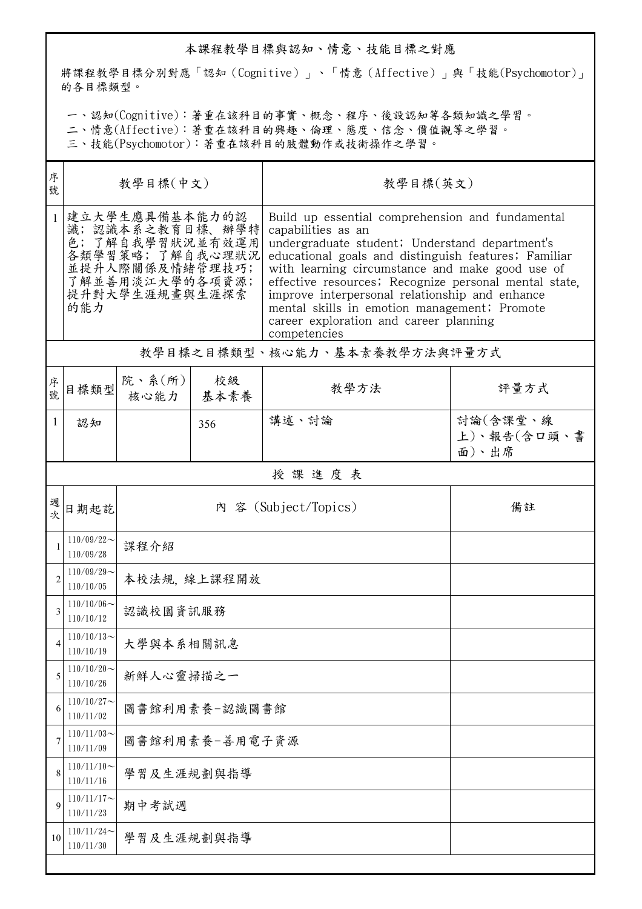## 本課程教學目標與認知、情意、技能目標之對應

將課程教學目標分別對應「認知(Cognitive)」、「情意(Affective)」與「技能(Psychomotor)」 的各目標類型。

一、認知(Cognitive):著重在該科目的事實、概念、程序、後設認知等各類知識之學習。

二、情意(Affective):著重在該科目的興趣、倫理、態度、信念、價值觀等之學習。

三、技能(Psychomotor):著重在該科目的肢體動作或技術操作之學習。

| 序<br>號         | 教學目標(中文)                                                                                                                               |                          |            | 教學目標(英文)                                                                                                                                                                                                                                                                                                                                                                                                                                                 |                                  |  |  |
|----------------|----------------------------------------------------------------------------------------------------------------------------------------|--------------------------|------------|----------------------------------------------------------------------------------------------------------------------------------------------------------------------------------------------------------------------------------------------------------------------------------------------------------------------------------------------------------------------------------------------------------------------------------------------------------|----------------------------------|--|--|
| $\mathbf{1}$   | 建立大學生應具備基本能力的認<br>識;認識本系之教育目標、辦學特<br>色;了解自我學習狀況並有效運用<br>各類學習策略;了解自我心理狀況<br>並提升人際關係及情緒管理技巧;<br>了解並善用淡江大學的各項資源;<br>提升對大學生涯規畫與生涯探索<br>的能力 |                          |            | Build up essential comprehension and fundamental<br>capabilities as an<br>undergraduate student; Understand department's<br>educational goals and distinguish features; Familiar<br>with learning circumstance and make good use of<br>effective resources; Recognize personal mental state.<br>improve interpersonal relationship and enhance<br>mental skills in emotion management; Promote<br>career exploration and career planning<br>competencies |                                  |  |  |
|                | 教學目標之目標類型、核心能力、基本素養教學方法與評量方式                                                                                                           |                          |            |                                                                                                                                                                                                                                                                                                                                                                                                                                                          |                                  |  |  |
| 序號             | 目標類型                                                                                                                                   | 院、系 $(\text{m})$<br>核心能力 | 校級<br>基本素養 | 教學方法                                                                                                                                                                                                                                                                                                                                                                                                                                                     | 評量方式                             |  |  |
| 1              | 認知                                                                                                                                     |                          | 356        | 講述、討論                                                                                                                                                                                                                                                                                                                                                                                                                                                    | 討論(含課堂、線<br>上)、報告(含口頭、書<br>面)、出席 |  |  |
|                |                                                                                                                                        |                          |            | 授課進度表                                                                                                                                                                                                                                                                                                                                                                                                                                                    |                                  |  |  |
| 週              | 日期起訖                                                                                                                                   |                          |            | 內 容 (Subject/Topics)                                                                                                                                                                                                                                                                                                                                                                                                                                     | 備註                               |  |  |
|                | $110/09/22$ ~<br>110/09/28                                                                                                             | 課程介紹                     |            |                                                                                                                                                                                                                                                                                                                                                                                                                                                          |                                  |  |  |
| $\overline{2}$ | $110/09/29$ ~<br>110/10/05                                                                                                             | 本校法規, 線上課程開放             |            |                                                                                                                                                                                                                                                                                                                                                                                                                                                          |                                  |  |  |
| 3              | $110/10/06 \sim$<br>110/10/12                                                                                                          | 認識校園資訊服務                 |            |                                                                                                                                                                                                                                                                                                                                                                                                                                                          |                                  |  |  |
| 4              | $110/10/13$ ~<br>110/10/19                                                                                                             | 大學與本系相關訊息                |            |                                                                                                                                                                                                                                                                                                                                                                                                                                                          |                                  |  |  |
| 5              | $110/10/20$ ~<br>110/10/26                                                                                                             | 新鮮人心靈掃描之一                |            |                                                                                                                                                                                                                                                                                                                                                                                                                                                          |                                  |  |  |
| 6              | $110/10/27$ ~<br>110/11/02                                                                                                             | 圖書館利用素養-認識圖書館            |            |                                                                                                                                                                                                                                                                                                                                                                                                                                                          |                                  |  |  |
| 7              | $110/11/03$ ~<br>110/11/09                                                                                                             | 圖書館利用素養-善用電子資源           |            |                                                                                                                                                                                                                                                                                                                                                                                                                                                          |                                  |  |  |
| 8              | $110/11/10$ ~<br>110/11/16                                                                                                             | 學習及生涯規劃與指導               |            |                                                                                                                                                                                                                                                                                                                                                                                                                                                          |                                  |  |  |
| 9              | $110/11/17$ ~<br>110/11/23                                                                                                             | 期中考試週                    |            |                                                                                                                                                                                                                                                                                                                                                                                                                                                          |                                  |  |  |
| 10             | $110/11/24$ ~<br>110/11/30                                                                                                             | 學習及生涯規劃與指導               |            |                                                                                                                                                                                                                                                                                                                                                                                                                                                          |                                  |  |  |
|                |                                                                                                                                        |                          |            |                                                                                                                                                                                                                                                                                                                                                                                                                                                          |                                  |  |  |